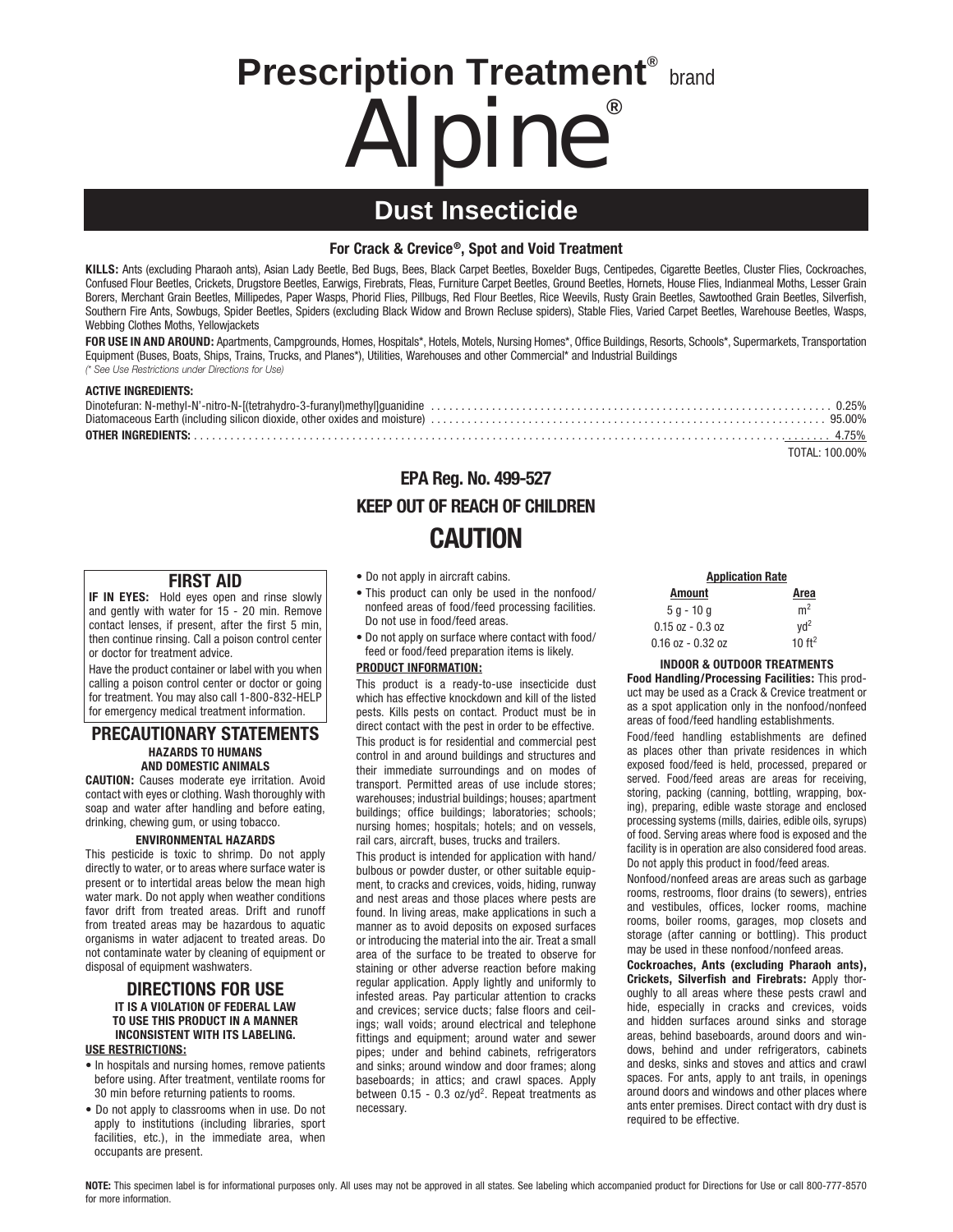# **Prescription Treatment® brand** Alpine**®**

# **Dust Insecticide**

#### **For Crack & Crevice®, Spot and Void Treatment**

**KILLS:** Ants (excluding Pharaoh ants), Asian Lady Beetle, Bed Bugs, Bees, Black Carpet Beetles, Boxelder Bugs, Centipedes, Cigarette Beetles, Cluster Flies, Cockroaches, Confused Flour Beetles, Crickets, Drugstore Beetles, Earwigs, Firebrats, Fleas, Furniture Carpet Beetles, Ground Beetles, Hornets, House Flies, Indianmeal Moths, Lesser Grain Borers, Merchant Grain Beetles, Millipedes, Paper Wasps, Phorid Flies, Pillbugs, Red Flour Beetles, Rice Weevils, Rusty Grain Beetles, Sawtoothed Grain Beetles, Silverfish, Southern Fire Ants, Sowbugs, Spider Beetles, Spiders (excluding Black Widow and Brown Recluse spiders), Stable Flies, Varied Carpet Beetles, Warehouse Beetles, Wasps, Webbing Clothes Moths, Yellowjackets

FOR USE IN AND AROUND: Apartments, Campgrounds, Homes, Hospitals\*, Hotels, Motels, Nursing Homes\*, Office Buildings, Resorts, Schools\*, Supermarkets, Transportation Equipment (Buses, Boats, Ships, Trains, Trucks, and Planes\*), Utilities, Warehouses and other Commercial\* and Industrial Buildings *(\* See Use Restrictions under Directions for Use)*

#### **ACTIVE INGREDIENTS:**

| TOTAL: 100.00% |
|----------------|

## **EPA Reg. No. 499-527 KEEP OUT OF REACH OF CHILDREN CAUTION**

#### **FIRST AID**

**IF IN EYES:** Hold eyes open and rinse slowly and gently with water for 15 - 20 min. Remove contact lenses, if present, after the first 5 min, then continue rinsing. Call a poison control center or doctor for treatment advice.

Have the product container or label with you when calling a poison control center or doctor or going for treatment. You may also call 1-800-832-HELP for emergency medical treatment information.

#### **PRECAUTIONARY STATEMENTS HAZARDS TO HUMANS AND DOMESTIC ANIMALS**

**CAUTION:** Causes moderate eye irritation. Avoid contact with eyes or clothing. Wash thoroughly with soap and water after handling and before eating, drinking, chewing gum, or using tobacco.

#### **ENVIRONMENTAL HAZARDS**

This pesticide is toxic to shrimp. Do not apply directly to water, or to areas where surface water is present or to intertidal areas below the mean high water mark. Do not apply when weather conditions favor drift from treated areas. Drift and runoff from treated areas may be hazardous to aquatic organisms in water adjacent to treated areas. Do not contaminate water by cleaning of equipment or disposal of equipment washwaters.

#### **DIRECTIONS FOR USE IT IS A VIOLATION OF FEDERAL LAW TO USE THIS PRODUCT IN A MANNER INCONSISTENT WITH ITS LABELING. USE RESTRICTIONS:**

- In hospitals and nursing homes, remove patients before using. After treatment, ventilate rooms for 30 min before returning patients to rooms.
- Do not apply to classrooms when in use. Do not apply to institutions (including libraries, sport facilities, etc.), in the immediate area, when occupants are present.
- Do not apply in aircraft cabins.
- This product can only be used in the nonfood/ nonfeed areas of food/feed processing facilities. Do not use in food/feed areas.
- Do not apply on surface where contact with food/ feed or food/feed preparation items is likely.

#### **PRODUCT INFORMATION:**

This product is a ready-to-use insecticide dust which has effective knockdown and kill of the listed pests. Kills pests on contact. Product must be in direct contact with the pest in order to be effective. This product is for residential and commercial pest control in and around buildings and structures and their immediate surroundings and on modes of transport. Permitted areas of use include stores; warehouses; industrial buildings; houses; apartment buildings; office buildings; laboratories; schools; nursing homes; hospitals; hotels; and on vessels, rail cars, aircraft, buses, trucks and trailers.

This product is intended for application with hand/ bulbous or powder duster, or other suitable equipment, to cracks and crevices, voids, hiding, runway and nest areas and those places where pests are found. In living areas, make applications in such a manner as to avoid deposits on exposed surfaces or introducing the material into the air. Treat a small area of the surface to be treated to observe for staining or other adverse reaction before making regular application. Apply lightly and uniformly to infested areas. Pay particular attention to cracks and crevices; service ducts; false floors and ceilings; wall voids; around electrical and telephone fittings and equipment; around water and sewer pipes; under and behind cabinets, refrigerators and sinks; around window and door frames; along baseboards; in attics; and crawl spaces. Apply between  $0.15 - 0.3$  oz/yd<sup>2</sup>. Repeat treatments as necessary.

| <b>Application Rate</b> |                   |
|-------------------------|-------------------|
| <b>Amount</b>           | Area              |
| $5 q - 10 q$            | m <sup>2</sup>    |
| $0.15$ oz $-0.3$ oz     | $\text{Vd}^2$     |
| $0.16$ oz - $0.32$ oz   | 10 <sup>ft2</sup> |

**INDOOR & OUTDOOR TREATMENTS**

**Food Handling/Processing Facilities:** This product may be used as a Crack & Crevice treatment or as a spot application only in the nonfood/nonfeed areas of food/feed handling establishments.

Food/feed handling establishments are defined as places other than private residences in which exposed food/feed is held, processed, prepared or served. Food/feed areas are areas for receiving, storing, packing (canning, bottling, wrapping, boxing), preparing, edible waste storage and enclosed processing systems (mills, dairies, edible oils, syrups) of food. Serving areas where food is exposed and the facility is in operation are also considered food areas. Do not apply this product in food/feed areas.

Nonfood/nonfeed areas are areas such as garbage rooms, restrooms, floor drains (to sewers), entries and vestibules, offices, locker rooms, machine rooms, boiler rooms, garages, mop closets and storage (after canning or bottling). This product may be used in these nonfood/nonfeed areas.

**Cockroaches, Ants (excluding Pharaoh ants), Crickets, Silverfish and Firebrats:** Apply thoroughly to all areas where these pests crawl and hide, especially in cracks and crevices, voids and hidden surfaces around sinks and storage areas, behind baseboards, around doors and windows, behind and under refrigerators, cabinets and desks, sinks and stoves and attics and crawl spaces. For ants, apply to ant trails, in openings around doors and windows and other places where ants enter premises. Direct contact with dry dust is required to be effective.